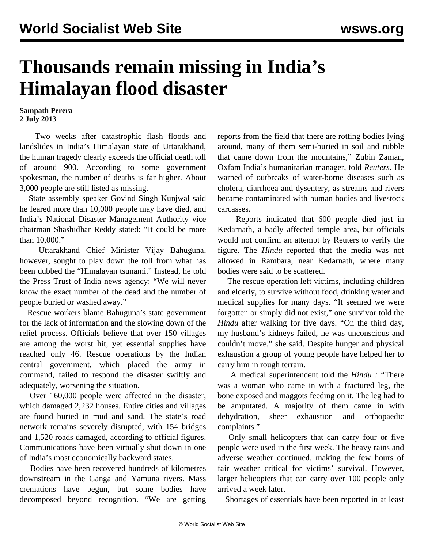## **Thousands remain missing in India's Himalayan flood disaster**

## **Sampath Perera 2 July 2013**

 Two weeks after catastrophic flash floods and landslides in India's Himalayan state of Uttarakhand, the human tragedy clearly exceeds the official death toll of around 900. According to some government spokesman, the number of deaths is far higher. About 3,000 people are still listed as missing.

 State assembly speaker Govind Singh Kunjwal said he feared more than 10,000 people may have died, and India's National Disaster Management Authority vice chairman Shashidhar Reddy stated: "It could be more than 10,000."

 Uttarakhand Chief Minister Vijay Bahuguna, however, sought to play down the toll from what has been dubbed the "Himalayan tsunami." Instead, he told the Press Trust of India news agency: "We will never know the exact number of the dead and the number of people buried or washed away."

 Rescue workers blame Bahuguna's state government for the lack of information and the slowing down of the relief process. Officials believe that over 150 villages are among the worst hit, yet essential supplies have reached only 46. Rescue operations by the Indian central government, which placed the army in command, failed to respond the disaster swiftly and adequately, worsening the situation.

 Over 160,000 people were affected in the disaster, which damaged 2,232 houses. Entire cities and villages are found buried in mud and sand. The state's road network remains severely disrupted, with 154 bridges and 1,520 roads damaged, according to official figures. Communications have been virtually shut down in one of India's most economically backward states.

 Bodies have been recovered hundreds of kilometres downstream in the Ganga and Yamuna rivers. Mass cremations have begun, but some bodies have decomposed beyond recognition. "We are getting reports from the field that there are rotting bodies lying around, many of them semi-buried in soil and rubble that came down from the mountains," Zubin Zaman, Oxfam India's humanitarian manager, told *Reuters*. He warned of outbreaks of water-borne diseases such as cholera, diarrhoea and dysentery, as streams and rivers became contaminated with human bodies and livestock carcasses.

 Reports indicated that 600 people died just in Kedarnath, a badly affected temple area, but officials would not confirm an attempt by Reuters to verify the figure. The *Hindu* reported that the media was not allowed in Rambara, near Kedarnath, where many bodies were said to be scattered.

 The rescue operation left victims, including children and elderly, to survive without food, drinking water and medical supplies for many days. "It seemed we were forgotten or simply did not exist," one survivor told the *Hindu* after walking for five days. "On the third day, my husband's kidneys failed, he was unconscious and couldn't move," she said. Despite hunger and physical exhaustion a group of young people have helped her to carry him in rough terrain.

 A medical superintendent told the *Hindu :* "There was a woman who came in with a fractured leg, the bone exposed and maggots feeding on it. The leg had to be amputated. A majority of them came in with dehydration, sheer exhaustion and orthopaedic complaints."

 Only small helicopters that can carry four or five people were used in the first week. The heavy rains and adverse weather continued, making the few hours of fair weather critical for victims' survival. However, larger helicopters that can carry over 100 people only arrived a week later.

Shortages of essentials have been reported in at least